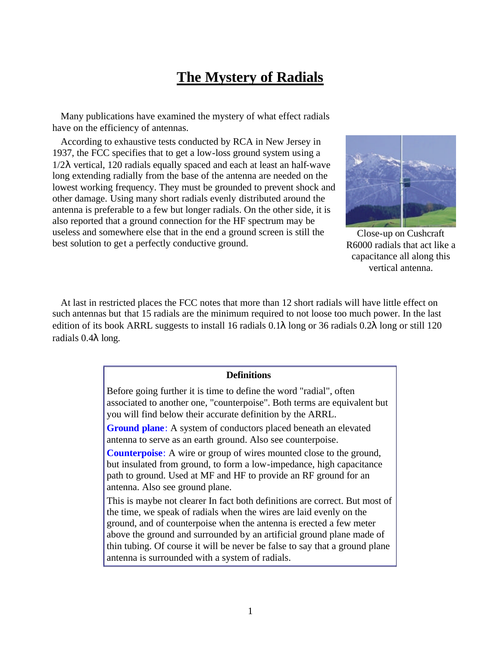# **The Mystery of Radials**

Many publications have examined the mystery of what effect radials have on the efficiency of antennas.

According to exhaustive tests conducted by RCA in New Jersey in 1937, the FCC specifies that to get a low-loss ground system using a  $1/2\lambda$  vertical, 120 radials equally spaced and each at least an half-wave long extending radially from the base of the antenna are needed on the lowest working frequency. They must be grounded to prevent shock and other damage. Using many short radials evenly distributed around the antenna is preferable to a few but longer radials. On the other side, it is also reported that a ground connection for the HF spectrum may be useless and somewhere else that in the end a ground screen is still the best solution to get a perfectly conductive ground.



Close-up on Cushcraft R6000 radials that act like a capacitance all along this vertical antenna.

At last in restricted places the FCC notes that more than 12 short radials will have little effect on such antennas but that 15 radials are the minimum required to not loose too much power. In the last edition of its book ARRL suggests to install 16 radials 0.1λ long or 36 radials 0.2λ long or still 120 radials 0.4λ long.

# **Definitions**

Before going further it is time to define the word "radial", often associated to another one, "counterpoise". Both terms are equivalent but you will find below their accurate definition by the ARRL.

**Ground plane**: A system of conductors placed beneath an elevated antenna to serve as an earth ground. Also see counterpoise.

**Counterpoise**: A wire or group of wires mounted close to the ground, but insulated from ground, to form a low-impedance, high capacitance path to ground. Used at MF and HF to provide an RF ground for an antenna. Also see ground plane.

This is maybe not clearer In fact both definitions are correct. But most of the time, we speak of radials when the wires are laid evenly on the ground, and of counterpoise when the antenna is erected a few meter above the ground and surrounded by an artificial ground plane made of thin tubing. Of course it will be never be false to say that a ground plane antenna is surrounded with a system of radials.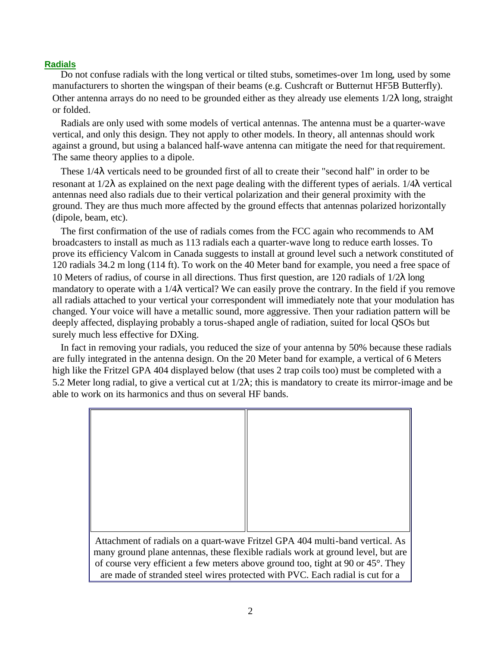# **Radials**

Do not confuse radials with the long vertical or tilted stubs, sometimes-over 1m long, used by some manufacturers to shorten the wingspan of their beams (e.g. Cushcraft or Butternut HF5B Butterfly). Other antenna arrays do no need to be grounded either as they already use elements  $1/2\lambda$  long, straight or folded.

Radials are only used with some models of vertical antennas. The antenna must be a quarter-wave vertical, and only this design. They not apply to other models. In theory, all antennas should work against a ground, but using a balanced half-wave antenna can mitigate the need for that requirement. The same theory applies to a dipole.

These 1/4λ verticals need to be grounded first of all to create their "second half" in order to be resonant at 1/2λ as explained on the next page dealing with the different types of aerials. 1/4λ vertical antennas need also radials due to their vertical polarization and their general proximity with the ground. They are thus much more affected by the ground effects that antennas polarized horizontally (dipole, beam, etc).

The first confirmation of the use of radials comes from the FCC again who recommends to AM broadcasters to install as much as 113 radials each a quarter-wave long to reduce earth losses. To prove its efficiency Valcom in Canada suggests to install at ground level such a network constituted of 120 radials 34.2 m long (114 ft). To work on the 40 Meter band for example, you need a free space of 10 Meters of radius, of course in all directions. Thus first question, are 120 radials of  $1/2\lambda$  long mandatory to operate with a 1/4λ vertical? We can easily prove the contrary. In the field if you remove all radials attached to your vertical your correspondent will immediately note that your modulation has changed. Your voice will have a metallic sound, more aggressive. Then your radiation pattern will be deeply affected, displaying probably a torus-shaped angle of radiation, suited for local QSOs but surely much less effective for DXing.

In fact in removing your radials, you reduced the size of your antenna by 50% because these radials are fully integrated in the antenna design. On the 20 Meter band for example, a vertical of 6 Meters high like the Fritzel GPA 404 displayed below (that uses 2 trap coils too) must be completed with a 5.2 Meter long radial, to give a vertical cut at  $1/2\lambda$ ; this is mandatory to create its mirror-image and be able to work on its harmonics and thus on several HF bands.

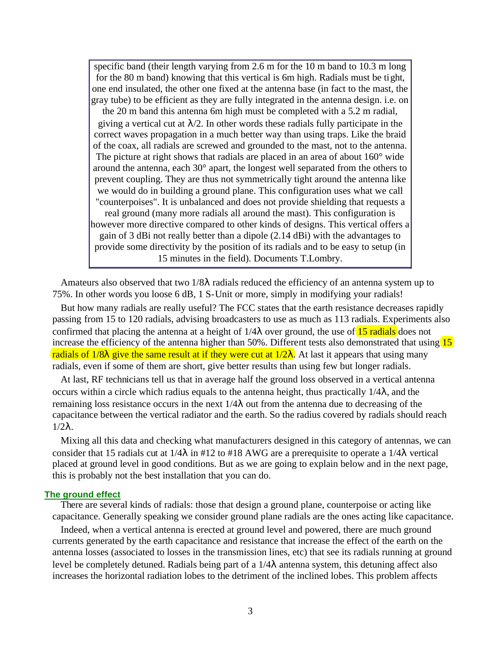specific band (their length varying from 2.6 m for the 10 m band to 10.3 m long for the 80 m band) knowing that this vertical is 6m high. Radials must be tight, one end insulated, the other one fixed at the antenna base (in fact to the mast, the gray tube) to be efficient as they are fully integrated in the antenna design. i.e. on

the 20 m band this antenna 6m high must be completed with a 5.2 m radial, giving a vertical cut at  $\lambda/2$ . In other words these radials fully participate in the correct waves propagation in a much better way than using traps. Like the braid of the coax, all radials are screwed and grounded to the mast, not to the antenna. The picture at right shows that radials are placed in an area of about 160° wide around the antenna, each 30° apart, the longest well separated from the others to prevent coupling. They are thus not symmetrically tight around the antenna like we would do in building a ground plane. This configuration uses what we call "counterpoises". It is unbalanced and does not provide shielding that requests a real ground (many more radials all around the mast). This configuration is however more directive compared to other kinds of designs. This vertical offers a gain of 3 dBi not really better than a dipole (2.14 dBi) with the advantages to provide some directivity by the position of its radials and to be easy to setup (in 15 minutes in the field). Documents T.Lombry.

Amateurs also observed that two 1/8λ radials reduced the efficiency of an antenna system up to 75%. In other words you loose 6 dB, 1 S-Unit or more, simply in modifying your radials!

But how many radials are really useful? The FCC states that the earth resistance decreases rapidly passing from 15 to 120 radials, advising broadcasters to use as much as 113 radials. Experiments also confirmed that placing the antenna at a height of  $1/4\lambda$  over ground, the use of 15 radials does not increase the efficiency of the antenna higher than 50%. Different tests also demonstrated that using  $(15)$ radials of  $1/8\lambda$  give the same result at if they were cut at  $1/2\lambda$ . At last it appears that using many radials, even if some of them are short, give better results than using few but longer radials.

At last, RF technicians tell us that in average half the ground loss observed in a vertical antenna occurs within a circle which radius equals to the antenna height, thus practically  $1/4\lambda$ , and the remaining loss resistance occurs in the next  $1/4\lambda$  out from the antenna due to decreasing of the capacitance between the vertical radiator and the earth. So the radius covered by radials should reach  $1/2λ$ .

Mixing all this data and checking what manufacturers designed in this category of antennas, we can consider that 15 radials cut at  $1/4\lambda$  in #12 to #18 AWG are a prerequisite to operate a  $1/4\lambda$  vertical placed at ground level in good conditions. But as we are going to explain below and in the next page, this is probably not the best installation that you can do.

#### **The ground effect**

There are several kinds of radials: those that design a ground plane, counterpoise or acting like capacitance. Generally speaking we consider ground plane radials are the ones acting like capacitance.

Indeed, when a vertical antenna is erected at ground level and powered, there are much ground currents generated by the earth capacitance and resistance that increase the effect of the earth on the antenna losses (associated to losses in the transmission lines, etc) that see its radials running at ground level be completely detuned. Radials being part of a 1/4λ antenna system, this detuning affect also increases the horizontal radiation lobes to the detriment of the inclined lobes. This problem affects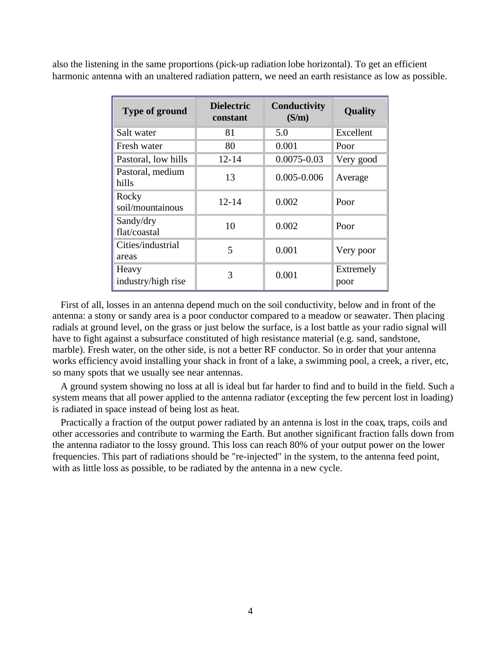also the listening in the same proportions (pick-up radiation lobe horizontal). To get an efficient harmonic antenna with an unaltered radiation pattern, we need an earth resistance as low as possible.

| <b>Dielectric</b><br><b>Type of ground</b><br>constant |           | <b>Conductivity</b><br>(S/m) | <b>Quality</b>    |  |
|--------------------------------------------------------|-----------|------------------------------|-------------------|--|
| Salt water                                             | 81        | 5.0                          | Excellent         |  |
| Fresh water                                            | 80        | 0.001                        | Poor              |  |
| Pastoral, low hills                                    | $12 - 14$ | $0.0075 - 0.03$              | Very good         |  |
| Pastoral, medium<br>hills                              | 13        | $0.005 - 0.006$              | Average           |  |
| Rocky<br>soil/mountainous                              | $12 - 14$ | 0.002                        | Poor              |  |
| Sandy/dry<br>flat/coastal                              | 10        | 0.002                        | Poor              |  |
| Cities/industrial<br>areas                             | 5         | 0.001                        | Very poor         |  |
| Heavy<br>industry/high rise                            | 3         | 0.001                        | Extremely<br>poor |  |

First of all, losses in an antenna depend much on the soil conductivity, below and in front of the antenna: a stony or sandy area is a poor conductor compared to a meadow or seawater. Then placing radials at ground level, on the grass or just below the surface, is a lost battle as your radio signal will have to fight against a subsurface constituted of high resistance material (e.g. sand, sandstone, marble). Fresh water, on the other side, is not a better RF conductor. So in order that your antenna works efficiency avoid installing your shack in front of a lake, a swimming pool, a creek, a river, etc, so many spots that we usually see near antennas.

A ground system showing no loss at all is ideal but far harder to find and to build in the field. Such a system means that all power applied to the antenna radiator (excepting the few percent lost in loading) is radiated in space instead of being lost as heat.

Practically a fraction of the output power radiated by an antenna is lost in the coax, traps, coils and other accessories and contribute to warming the Earth. But another significant fraction falls down from the antenna radiator to the lossy ground. This loss can reach 80% of your output power on the lower frequencies. This part of radiations should be "re-injected" in the system, to the antenna feed point, with as little loss as possible, to be radiated by the antenna in a new cycle.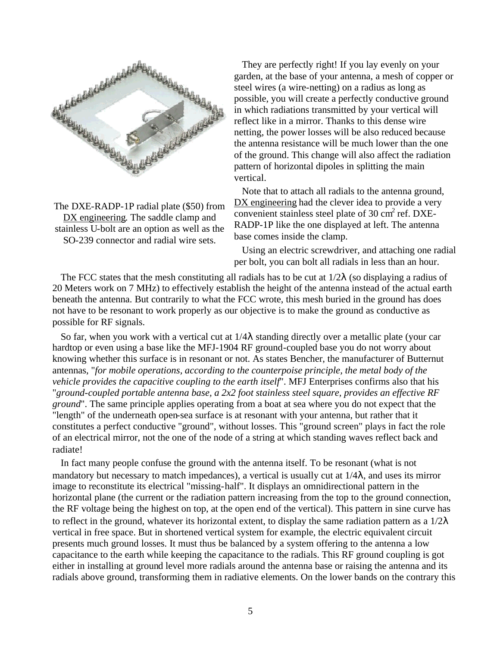

The DXE-RADP-1P radial plate (\$50) from DX engineering. The saddle clamp and stainless U-bolt are an option as well as the SO-239 connector and radial wire sets.

They are perfectly right! If you lay evenly on your garden, at the base of your antenna, a mesh of copper or steel wires (a wire-netting) on a radius as long as possible, you will create a perfectly conductive ground in which radiations transmitted by your vertical will reflect like in a mirror. Thanks to this dense wire netting, the power losses will be also reduced because the antenna resistance will be much lower than the one of the ground. This change will also affect the radiation pattern of horizontal dipoles in splitting the main vertical.

Note that to attach all radials to the antenna ground, DX engineering had the clever idea to provide a very convenient stainless steel plate of 30  $\text{cm}^2$  ref. DXE-RADP-1P like the one displayed at left. The antenna base comes inside the clamp.

Using an electric screwdriver, and attaching one radial per bolt, you can bolt all radials in less than an hour.

The FCC states that the mesh constituting all radials has to be cut at  $1/2\lambda$  (so displaying a radius of 20 Meters work on 7 MHz) to effectively establish the height of the antenna instead of the actual earth beneath the antenna. But contrarily to what the FCC wrote, this mesh buried in the ground has does not have to be resonant to work properly as our objective is to make the ground as conductive as possible for RF signals.

So far, when you work with a vertical cut at  $1/4\lambda$  standing directly over a metallic plate (your car hardtop or even using a base like the MFJ-1904 RF ground-coupled base you do not worry about knowing whether this surface is in resonant or not. As states Bencher, the manufacturer of Butternut antennas, "*for mobile operations, according to the counterpoise principle, the metal body of the vehicle provides the capacitive coupling to the earth itself*". MFJ Enterprises confirms also that his "*ground-coupled portable antenna base, a 2x2 foot stainless steel square, provides an effective RF ground*". The same principle applies operating from a boat at sea where you do not expect that the "length" of the underneath open-sea surface is at resonant with your antenna, but rather that it constitutes a perfect conductive "ground", without losses. This "ground screen" plays in fact the role of an electrical mirror, not the one of the node of a string at which standing waves reflect back and radiate!

In fact many people confuse the ground with the antenna itself. To be resonant (what is not mandatory but necessary to match impedances), a vertical is usually cut at  $1/4\lambda$ , and uses its mirror image to reconstitute its electrical "missing-half". It displays an omnidirectional pattern in the horizontal plane (the current or the radiation pattern increasing from the top to the ground connection, the RF voltage being the highest on top, at the open end of the vertical). This pattern in sine curve has to reflect in the ground, whatever its horizontal extent, to display the same radiation pattern as a  $1/2\lambda$ vertical in free space. But in shortened vertical system for example, the electric equivalent circuit presents much ground losses. It must thus be balanced by a system offering to the antenna a low capacitance to the earth while keeping the capacitance to the radials. This RF ground coupling is got either in installing at ground level more radials around the antenna base or raising the antenna and its radials above ground, transforming them in radiative elements. On the lower bands on the contrary this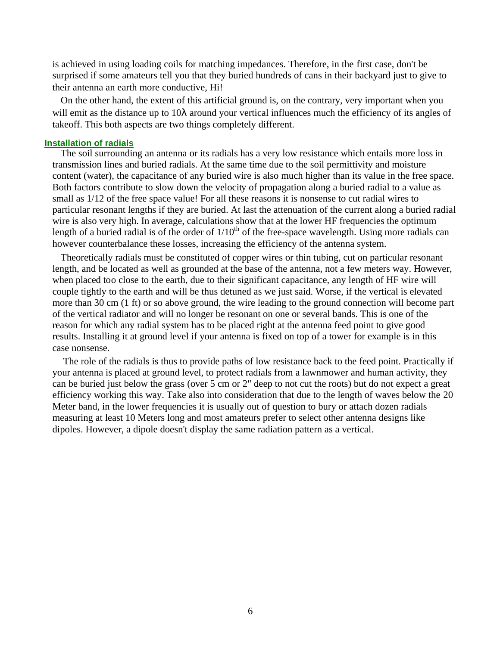is achieved in using loading coils for matching impedances. Therefore, in the first case, don't be surprised if some amateurs tell you that they buried hundreds of cans in their backyard just to give to their antenna an earth more conductive, Hi!

On the other hand, the extent of this artificial ground is, on the contrary, very important when you will emit as the distance up to 10λ around your vertical influences much the efficiency of its angles of takeoff. This both aspects are two things completely different.

# **Installation of radials**

The soil surrounding an antenna or its radials has a very low resistance which entails more loss in transmission lines and buried radials. At the same time due to the soil permittivity and moisture content (water), the capacitance of any buried wire is also much higher than its value in the free space. Both factors contribute to slow down the velocity of propagation along a buried radial to a value as small as 1/12 of the free space value! For all these reasons it is nonsense to cut radial wires to particular resonant lengths if they are buried. At last the attenuation of the current along a buried radial wire is also very high. In average, calculations show that at the lower HF frequencies the optimum length of a buried radial is of the order of  $1/10^{th}$  of the free-space wavelength. Using more radials can however counterbalance these losses, increasing the efficiency of the antenna system.

Theoretically radials must be constituted of copper wires or thin tubing, cut on particular resonant length, and be located as well as grounded at the base of the antenna, not a few meters way. However, when placed too close to the earth, due to their significant capacitance, any length of HF wire will couple tightly to the earth and will be thus detuned as we just said. Worse, if the vertical is elevated more than 30 cm (1 ft) or so above ground, the wire leading to the ground connection will become part of the vertical radiator and will no longer be resonant on one or several bands. This is one of the reason for which any radial system has to be placed right at the antenna feed point to give good results. Installing it at ground level if your antenna is fixed on top of a tower for example is in this case nonsense.

The role of the radials is thus to provide paths of low resistance back to the feed point. Practically if your antenna is placed at ground level, to protect radials from a lawnmower and human activity, they can be buried just below the grass (over 5 cm or 2" deep to not cut the roots) but do not expect a great efficiency working this way. Take also into consideration that due to the length of waves below the 20 Meter band, in the lower frequencies it is usually out of question to bury or attach dozen radials measuring at least 10 Meters long and most amateurs prefer to select other antenna designs like dipoles. However, a dipole doesn't display the same radiation pattern as a vertical.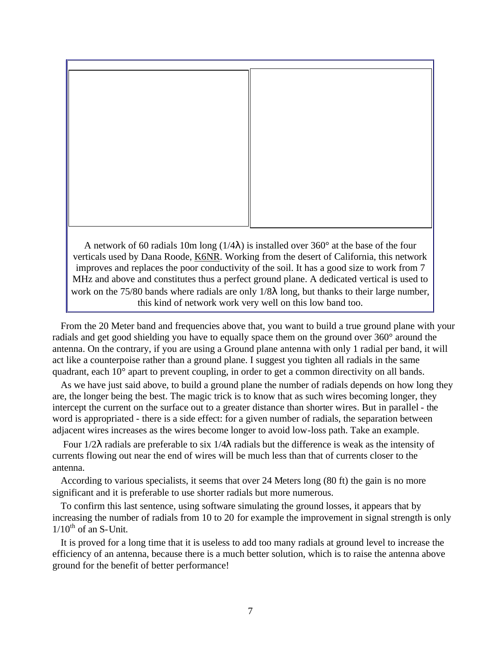

this kind of network work very well on this low band too.

From the 20 Meter band and frequencies above that, you want to build a true ground plane with your radials and get good shielding you have to equally space them on the ground over 360° around the antenna. On the contrary, if you are using a Ground plane antenna with only 1 radial per band, it will act like a counterpoise rather than a ground plane. I suggest you tighten all radials in the same quadrant, each 10° apart to prevent coupling, in order to get a common directivity on all bands.

As we have just said above, to build a ground plane the number of radials depends on how long they are, the longer being the best. The magic trick is to know that as such wires becoming longer, they intercept the current on the surface out to a greater distance than shorter wires. But in parallel - the word is appropriated - there is a side effect: for a given number of radials, the separation between adjacent wires increases as the wires become longer to avoid low-loss path. Take an example.

Four 1/2λ radials are preferable to six 1/4λ radials but the difference is weak as the intensity of currents flowing out near the end of wires will be much less than that of currents closer to the antenna.

According to various specialists, it seems that over 24 Meters long (80 ft) the gain is no more significant and it is preferable to use shorter radials but more numerous.

To confirm this last sentence, using software simulating the ground losses, it appears that by increasing the number of radials from 10 to 20 for example the improvement in signal strength is only  $1/10^{th}$  of an S-Unit.

It is proved for a long time that it is useless to add too many radials at ground level to increase the efficiency of an antenna, because there is a much better solution, which is to raise the antenna above ground for the benefit of better performance!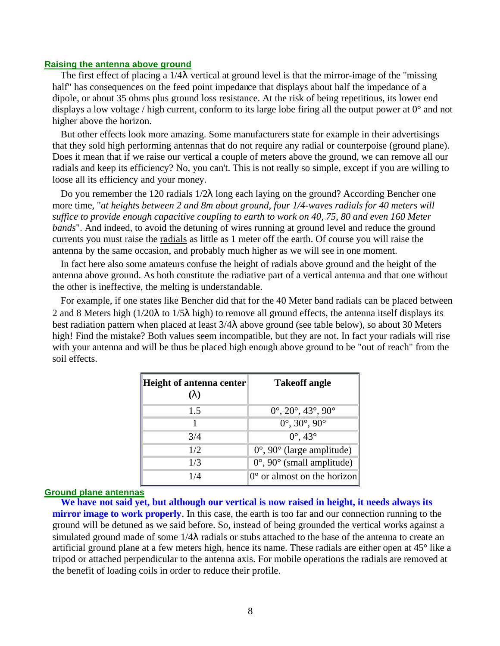# **Raising the antenna above ground**

The first effect of placing a 1/4λ vertical at ground level is that the mirror-image of the "missing half" has consequences on the feed point impedance that displays about half the impedance of a dipole, or about 35 ohms plus ground loss resistance. At the risk of being repetitious, its lower end displays a low voltage / high current, conform to its large lobe firing all the output power at 0° and not higher above the horizon.

But other effects look more amazing. Some manufacturers state for example in their advertisings that they sold high performing antennas that do not require any radial or counterpoise (ground plane). Does it mean that if we raise our vertical a couple of meters above the ground, we can remove all our radials and keep its efficiency? No, you can't. This is not really so simple, except if you are willing to loose all its efficiency and your money.

Do you remember the 120 radials 1/2λ long each laying on the ground? According Bencher one more time, "*at heights between 2 and 8m about ground, four 1/4-waves radials for 40 meters will suffice to provide enough capacitive coupling to earth to work on 40, 75, 80 and even 160 Meter bands*". And indeed, to avoid the detuning of wires running at ground level and reduce the ground currents you must raise the radials as little as 1 meter off the earth. Of course you will raise the antenna by the same occasion, and probably much higher as we will see in one moment.

In fact here also some amateurs confuse the height of radials above ground and the height of the antenna above ground. As both constitute the radiative part of a vertical antenna and that one without the other is ineffective, the melting is understandable.

For example, if one states like Bencher did that for the 40 Meter band radials can be placed between 2 and 8 Meters high (1/20λ to 1/5λ high) to remove all ground effects, the antenna itself displays its best radiation pattern when placed at least 3/4λ above ground (see table below), so about 30 Meters high! Find the mistake? Both values seem incompatible, but they are not. In fact your radials will rise with your antenna and will be thus be placed high enough above ground to be "out of reach" from the soil effects.

| <b>Height of antenna center</b><br>( <b>l</b> ) | <b>Takeoff angle</b>                                     |
|-------------------------------------------------|----------------------------------------------------------|
| 1.5                                             | $0^{\circ}$ , $20^{\circ}$ , $43^{\circ}$ , $90^{\circ}$ |
| 1                                               | $0^{\circ}$ , $30^{\circ}$ , $90^{\circ}$                |
| 3/4                                             | $0^{\circ}$ , 43 $^{\circ}$                              |
| 1/2                                             | $0^{\circ}$ , 90 $^{\circ}$ (large amplitude)            |
| 1/3                                             | $0^\circ$ , $90^\circ$ (small amplitude)                 |
| 1/4                                             | $0^{\circ}$ or almost on the horizon                     |

#### **Ground plane antennas**

**We have not said yet, but although our vertical is now raised in height, it needs always its mirror image to work properly**. In this case, the earth is too far and our connection running to the ground will be detuned as we said before. So, instead of being grounded the vertical works against a simulated ground made of some 1/4λ radials or stubs attached to the base of the antenna to create an artificial ground plane at a few meters high, hence its name. These radials are either open at 45° like a tripod or attached perpendicular to the antenna axis. For mobile operations the radials are removed at the benefit of loading coils in order to reduce their profile.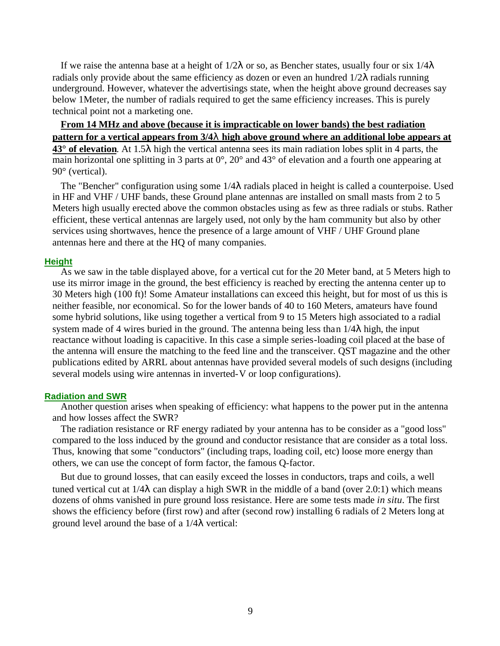If we raise the antenna base at a height of  $1/2\lambda$  or so, as Bencher states, usually four or six  $1/4\lambda$ radials only provide about the same efficiency as dozen or even an hundred  $1/2\lambda$  radials running underground. However, whatever the advertisings state, when the height above ground decreases say below 1Meter, the number of radials required to get the same efficiency increases. This is purely technical point not a marketing one.

**From 14 MHz and above (because it is impracticable on lower bands) the best radiation pattern for a vertical appears from 3/4l high above ground where an additional lobe appears at 43° of elevation**. At 1.5λ high the vertical antenna sees its main radiation lobes split in 4 parts, the

main horizontal one splitting in 3 parts at  $0^{\circ}$ ,  $20^{\circ}$  and  $43^{\circ}$  of elevation and a fourth one appearing at 90° (vertical).

The "Bencher" configuration using some  $1/4\lambda$  radials placed in height is called a counterpoise. Used in HF and VHF / UHF bands, these Ground plane antennas are installed on small masts from 2 to 5 Meters high usually erected above the common obstacles using as few as three radials or stubs. Rather efficient, these vertical antennas are largely used, not only by the ham community but also by other services using shortwaves, hence the presence of a large amount of VHF / UHF Ground plane antennas here and there at the HQ of many companies.

# **Height**

As we saw in the table displayed above, for a vertical cut for the 20 Meter band, at 5 Meters high to use its mirror image in the ground, the best efficiency is reached by erecting the antenna center up to 30 Meters high (100 ft)! Some Amateur installations can exceed this height, but for most of us this is neither feasible, nor economical. So for the lower bands of 40 to 160 Meters, amateurs have found some hybrid solutions, like using together a vertical from 9 to 15 Meters high associated to a radial system made of 4 wires buried in the ground. The antenna being less than  $1/4\lambda$  high, the input reactance without loading is capacitive. In this case a simple series-loading coil placed at the base of the antenna will ensure the matching to the feed line and the transceiver. QST magazine and the other publications edited by ARRL about antennas have provided several models of such designs (including several models using wire antennas in inverted-V or loop configurations).

# **Radiation and SWR**

Another question arises when speaking of efficiency: what happens to the power put in the antenna and how losses affect the SWR?

The radiation resistance or RF energy radiated by your antenna has to be consider as a "good loss" compared to the loss induced by the ground and conductor resistance that are consider as a total loss. Thus, knowing that some "conductors" (including traps, loading coil, etc) loose more energy than others, we can use the concept of form factor, the famous Q-factor.

But due to ground losses, that can easily exceed the losses in conductors, traps and coils, a well tuned vertical cut at  $1/4\lambda$  can display a high SWR in the middle of a band (over 2.0:1) which means dozens of ohms vanished in pure ground loss resistance. Here are some tests made *in situ*. The first shows the efficiency before (first row) and after (second row) installing 6 radials of 2 Meters long at ground level around the base of a 1/4λ vertical: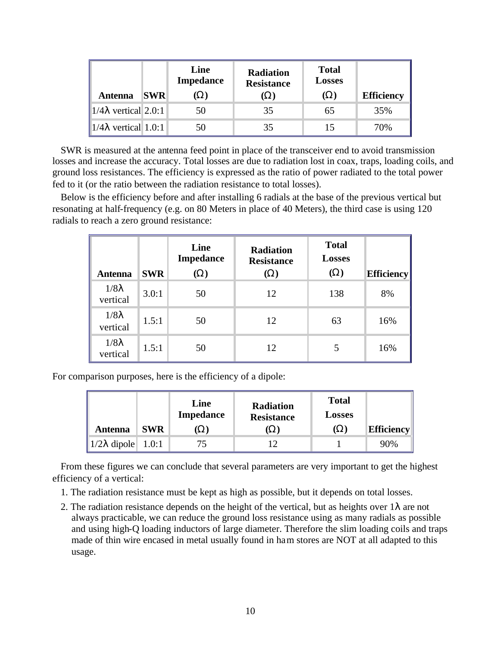| <b>Antenna</b>                           | <b>SWR</b> | Line<br><b>Impedance</b><br>W) | <b>Radiation</b><br><b>Resistance</b><br>W) | <b>Total</b><br><b>Losses</b><br>(W) | <b>Efficiency</b> |
|------------------------------------------|------------|--------------------------------|---------------------------------------------|--------------------------------------|-------------------|
| $\ 1/4\lambda$ vertical 2.0:1            |            | 50                             | 35                                          | 65                                   | 35%               |
| $\parallel$ 1/4 $\lambda$ vertical 1.0:1 |            | 50                             | 35                                          | 15                                   | 70%               |

SWR is measured at the antenna feed point in place of the transceiver end to avoid transmission losses and increase the accuracy. Total losses are due to radiation lost in coax, traps, loading coils, and ground loss resistances. The efficiency is expressed as the ratio of power radiated to the total power fed to it (or the ratio between the radiation resistance to total losses).

Below is the efficiency before and after installing 6 radials at the base of the previous vertical but resonating at half-frequency (e.g. on 80 Meters in place of 40 Meters), the third case is using 120 radials to reach a zero ground resistance:

| <b>Antenna</b>           | <b>SWR</b> | Line<br><b>Impedance</b><br>$(\mathbf{W})$ | <b>Radiation</b><br><b>Resistance</b><br>$\mathbf{W}$ | <b>Total</b><br><b>Losses</b><br>$(\mathbf{W})$ | <b>Efficiency</b> |
|--------------------------|------------|--------------------------------------------|-------------------------------------------------------|-------------------------------------------------|-------------------|
| $1/8\lambda$<br>vertical | 3.0:1      | 50                                         | 12                                                    | 138                                             | 8%                |
| $1/8\lambda$<br>vertical | 1.5:1      | 50                                         | 12                                                    | 63                                              | 16%               |
| $1/8\lambda$<br>vertical | 1.5:1      | 50                                         | 12                                                    | 5                                               | 16%               |

For comparison purposes, here is the efficiency of a dipole:

| <b>Antenna</b>                                | <b>SWR</b> | Line<br><b>Impedance</b><br>W) | <b>Radiation</b><br><b>Resistance</b><br>W) | <b>Total</b><br><b>Losses</b><br>(W) | <b>Efficiency</b> |
|-----------------------------------------------|------------|--------------------------------|---------------------------------------------|--------------------------------------|-------------------|
| $\vert 1/2\lambda \text{ dipole} \vert 1.0:1$ |            | 75                             |                                             |                                      | 90%               |

From these figures we can conclude that several parameters are very important to get the highest efficiency of a vertical:

- 1. The radiation resistance must be kept as high as possible, but it depends on total losses.
- 2. The radiation resistance depends on the height of the vertical, but as heights over  $1\lambda$  are not always practicable, we can reduce the ground loss resistance using as many radials as possible and using high-Q loading inductors of large diameter. Therefore the slim loading coils and traps made of thin wire encased in metal usually found in ham stores are NOT at all adapted to this usage.